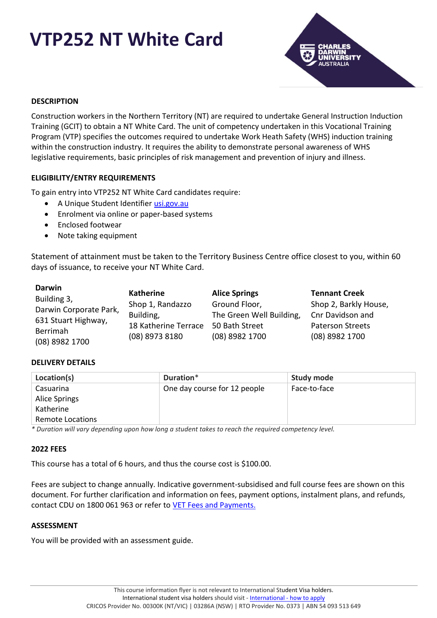# **VTP252 NT White Card**



# **DESCRIPTION**

Construction workers in the Northern Territory (NT) are required to undertake General Instruction Induction Training (GCIT) to obtain a NT White Card. The unit of competency undertaken in this Vocational Training Program (VTP) specifies the outcomes required to undertake Work Heath Safety (WHS) induction training within the construction industry. It requires the ability to demonstrate personal awareness of WHS legislative requirements, basic principles of risk management and prevention of injury and illness.

## **ELIGIBILITY/ENTRY REQUIREMENTS**

To gain entry into VTP252 NT White Card candidates require:

- A Unique Student Identifier [usi.gov.au](http://www.usi.gov.au/)
- Enrolment via online or paper-based systems
- Enclosed footwear
- Note taking equipment

Statement of attainment must be taken to the Territory Business Centre office closest to you, within 60 days of issuance, to receive your NT White Card.

| <b>Darwin</b>          | <b>Katherine</b>     |                          |                         |
|------------------------|----------------------|--------------------------|-------------------------|
| Building 3,            |                      | <b>Alice Springs</b>     | <b>Tennant Creek</b>    |
| Darwin Corporate Park, | Shop 1, Randazzo     | Ground Floor,            | Shop 2, Barkly House,   |
|                        | Building,            | The Green Well Building, | Cnr Davidson and        |
| 631 Stuart Highway,    | 18 Katherine Terrace | 50 Bath Street           | <b>Paterson Streets</b> |
| Berrimah               |                      |                          |                         |
| (08) 8982 1700         | (08) 8973 8180       | (08) 8982 1700           | (08) 8982 1700          |

## **DELIVERY DETAILS**

| Location(s)             | Duration*                    | <b>Study mode</b> |
|-------------------------|------------------------------|-------------------|
| Casuarina               | One day course for 12 people | Face-to-face      |
| Alice Springs           |                              |                   |
| Katherine               |                              |                   |
| <b>Remote Locations</b> |                              |                   |

*\* Duration will vary depending upon how long a student takes to reach the required competency level.*

## **2022 FEES**

This course has a total of 6 hours, and thus the course cost is \$100.00.

Fees are subject to change annually. Indicative government-subsidised and full course fees are shown on this document. For further clarification and information on fees, payment options, instalment plans, and refunds, contact CDU on 1800 061 963 or refer to [VET Fees and Payments.](https://www.cdu.edu.au/current-students/student-admin/fees-payments)

## **ASSESSMENT**

You will be provided with an assessment guide.